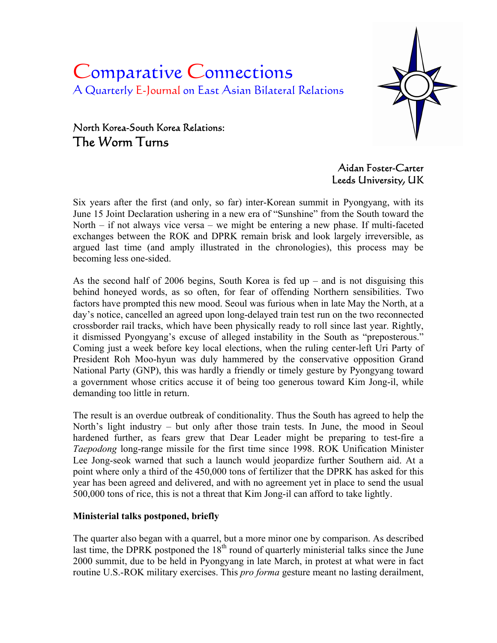# Comparative Connections A Quarterly E-Journal on East Asian Bilateral Relations



# North Korea-South Korea Relations: The Worm Turns

Aidan Foster-Carter Leeds University, UK

Six years after the first (and only, so far) inter-Korean summit in Pyongyang, with its June 15 Joint Declaration ushering in a new era of "Sunshine" from the South toward the North – if not always vice versa – we might be entering a new phase. If multi-faceted exchanges between the ROK and DPRK remain brisk and look largely irreversible, as argued last time (and amply illustrated in the chronologies), this process may be becoming less one-sided.

As the second half of 2006 begins, South Korea is fed up  $-$  and is not disguising this behind honeyed words, as so often, for fear of offending Northern sensibilities. Two factors have prompted this new mood. Seoul was furious when in late May the North, at a day's notice, cancelled an agreed upon long-delayed train test run on the two reconnected crossborder rail tracks, which have been physically ready to roll since last year. Rightly, it dismissed Pyongyang's excuse of alleged instability in the South as "preposterous." Coming just a week before key local elections, when the ruling center-left Uri Party of President Roh Moo-hyun was duly hammered by the conservative opposition Grand National Party (GNP), this was hardly a friendly or timely gesture by Pyongyang toward a government whose critics accuse it of being too generous toward Kim Jong-il, while demanding too little in return.

The result is an overdue outbreak of conditionality. Thus the South has agreed to help the North's light industry – but only after those train tests. In June, the mood in Seoul hardened further, as fears grew that Dear Leader might be preparing to test-fire a *Taepodong* long-range missile for the first time since 1998. ROK Unification Minister Lee Jong-seok warned that such a launch would jeopardize further Southern aid. At a point where only a third of the 450,000 tons of fertilizer that the DPRK has asked for this year has been agreed and delivered, and with no agreement yet in place to send the usual 500,000 tons of rice, this is not a threat that Kim Jong-il can afford to take lightly.

# **Ministerial talks postponed, briefly**

The quarter also began with a quarrel, but a more minor one by comparison. As described last time, the DPRK postponed the  $18<sup>th</sup>$  round of quarterly ministerial talks since the June 2000 summit, due to be held in Pyongyang in late March, in protest at what were in fact routine U.S.-ROK military exercises. This *pro forma* gesture meant no lasting derailment,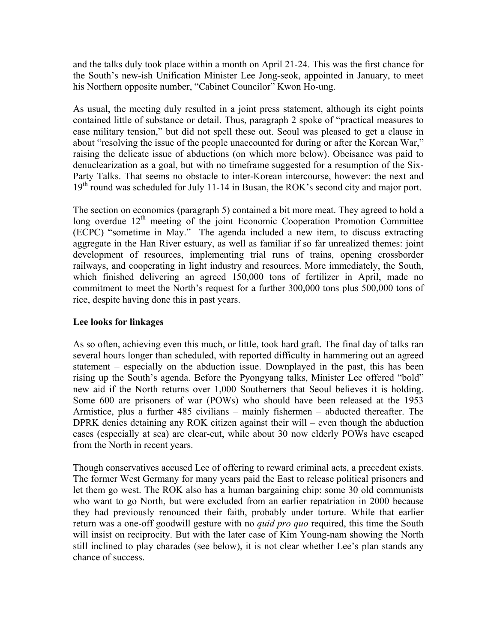and the talks duly took place within a month on April 21-24. This was the first chance for the South's new-ish Unification Minister Lee Jong-seok, appointed in January, to meet his Northern opposite number, "Cabinet Councilor" Kwon Ho-ung.

As usual, the meeting duly resulted in a joint press statement, although its eight points contained little of substance or detail. Thus, paragraph 2 spoke of "practical measures to ease military tension," but did not spell these out. Seoul was pleased to get a clause in about "resolving the issue of the people unaccounted for during or after the Korean War," raising the delicate issue of abductions (on which more below). Obeisance was paid to denuclearization as a goal, but with no timeframe suggested for a resumption of the Six-Party Talks. That seems no obstacle to inter-Korean intercourse, however: the next and  $19<sup>th</sup>$  round was scheduled for July 11-14 in Busan, the ROK's second city and major port.

The section on economics (paragraph 5) contained a bit more meat. They agreed to hold a long overdue  $12<sup>th</sup>$  meeting of the joint Economic Cooperation Promotion Committee (ECPC) "sometime in May." The agenda included a new item, to discuss extracting aggregate in the Han River estuary, as well as familiar if so far unrealized themes: joint development of resources, implementing trial runs of trains, opening crossborder railways, and cooperating in light industry and resources. More immediately, the South, which finished delivering an agreed 150,000 tons of fertilizer in April, made no commitment to meet the North's request for a further 300,000 tons plus 500,000 tons of rice, despite having done this in past years.

#### **Lee looks for linkages**

As so often, achieving even this much, or little, took hard graft. The final day of talks ran several hours longer than scheduled, with reported difficulty in hammering out an agreed statement – especially on the abduction issue. Downplayed in the past, this has been rising up the South's agenda. Before the Pyongyang talks, Minister Lee offered "bold" new aid if the North returns over 1,000 Southerners that Seoul believes it is holding. Some 600 are prisoners of war (POWs) who should have been released at the 1953 Armistice, plus a further 485 civilians – mainly fishermen – abducted thereafter. The DPRK denies detaining any ROK citizen against their will – even though the abduction cases (especially at sea) are clear-cut, while about 30 now elderly POWs have escaped from the North in recent years.

Though conservatives accused Lee of offering to reward criminal acts, a precedent exists. The former West Germany for many years paid the East to release political prisoners and let them go west. The ROK also has a human bargaining chip: some 30 old communists who want to go North, but were excluded from an earlier repatriation in 2000 because they had previously renounced their faith, probably under torture. While that earlier return was a one-off goodwill gesture with no *quid pro quo* required, this time the South will insist on reciprocity. But with the later case of Kim Young-nam showing the North still inclined to play charades (see below), it is not clear whether Lee's plan stands any chance of success.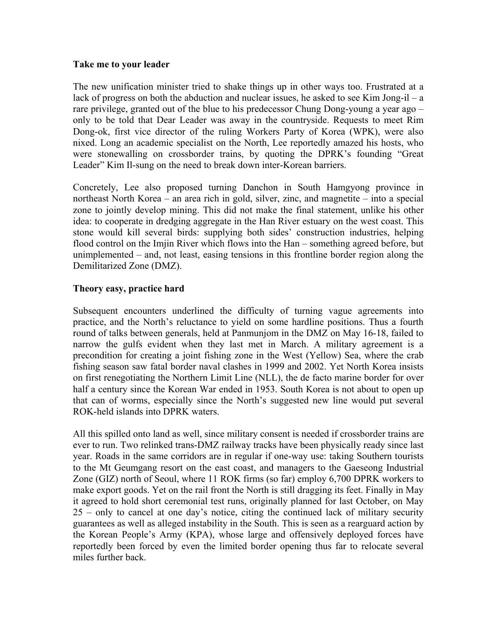#### **Take me to your leader**

The new unification minister tried to shake things up in other ways too. Frustrated at a lack of progress on both the abduction and nuclear issues, he asked to see Kim Jong-il – a rare privilege, granted out of the blue to his predecessor Chung Dong-young a year ago – only to be told that Dear Leader was away in the countryside. Requests to meet Rim Dong-ok, first vice director of the ruling Workers Party of Korea (WPK), were also nixed. Long an academic specialist on the North, Lee reportedly amazed his hosts, who were stonewalling on crossborder trains, by quoting the DPRK's founding "Great Leader" Kim Il-sung on the need to break down inter-Korean barriers.

Concretely, Lee also proposed turning Danchon in South Hamgyong province in northeast North Korea – an area rich in gold, silver, zinc, and magnetite – into a special zone to jointly develop mining. This did not make the final statement, unlike his other idea: to cooperate in dredging aggregate in the Han River estuary on the west coast. This stone would kill several birds: supplying both sides' construction industries, helping flood control on the Imjin River which flows into the Han – something agreed before, but unimplemented – and, not least, easing tensions in this frontline border region along the Demilitarized Zone (DMZ).

#### **Theory easy, practice hard**

Subsequent encounters underlined the difficulty of turning vague agreements into practice, and the North's reluctance to yield on some hardline positions. Thus a fourth round of talks between generals, held at Panmunjom in the DMZ on May 16-18, failed to narrow the gulfs evident when they last met in March. A military agreement is a precondition for creating a joint fishing zone in the West (Yellow) Sea, where the crab fishing season saw fatal border naval clashes in 1999 and 2002. Yet North Korea insists on first renegotiating the Northern Limit Line (NLL), the de facto marine border for over half a century since the Korean War ended in 1953. South Korea is not about to open up that can of worms, especially since the North's suggested new line would put several ROK-held islands into DPRK waters.

All this spilled onto land as well, since military consent is needed if crossborder trains are ever to run. Two relinked trans-DMZ railway tracks have been physically ready since last year. Roads in the same corridors are in regular if one-way use: taking Southern tourists to the Mt Geumgang resort on the east coast, and managers to the Gaeseong Industrial Zone (GIZ) north of Seoul, where 11 ROK firms (so far) employ 6,700 DPRK workers to make export goods. Yet on the rail front the North is still dragging its feet. Finally in May it agreed to hold short ceremonial test runs, originally planned for last October, on May 25 – only to cancel at one day's notice, citing the continued lack of military security guarantees as well as alleged instability in the South. This is seen as a rearguard action by the Korean People's Army (KPA), whose large and offensively deployed forces have reportedly been forced by even the limited border opening thus far to relocate several miles further back.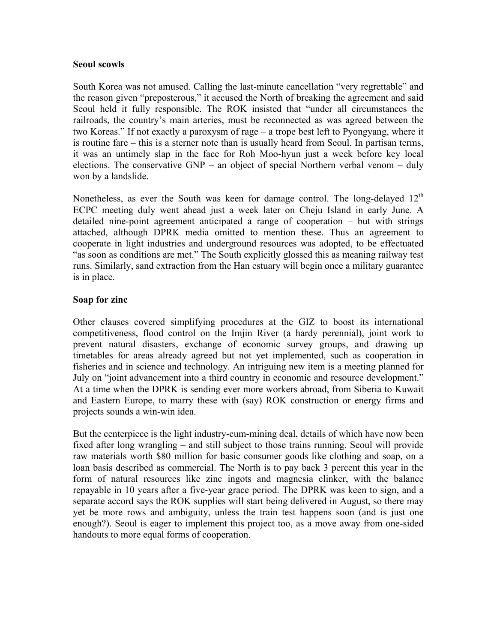#### **Seoul scowls**

South Korea was not amused. Calling the last-minute cancellation "very regrettable" and the reason given "preposterous," it accused the North of breaking the agreement and said Seoul held it fully responsible. The ROK insisted that "under all circumstances the railroads, the country's main arteries, must be reconnected as was agreed between the two Koreas." If not exactly a paroxysm of rage – a trope best left to Pyongyang, where it is routine fare – this is a sterner note than is usually heard from Seoul. In partisan terms, it was an untimely slap in the face for Roh Moo-hyun just a week before key local elections. The conservative GNP – an object of special Northern verbal venom – duly won by a landslide.

Nonetheless, as ever the South was keen for damage control. The long-delayed  $12<sup>th</sup>$ ECPC meeting duly went ahead just a week later on Cheju Island in early June. A detailed nine-point agreement anticipated a range of cooperation – but with strings attached, although DPRK media omitted to mention these. Thus an agreement to cooperate in light industries and underground resources was adopted, to be effectuated "as soon as conditions are met." The South explicitly glossed this as meaning railway test runs. Similarly, sand extraction from the Han estuary will begin once a military guarantee is in place.

#### **Soap for zinc**

Other clauses covered simplifying procedures at the GIZ to boost its international competitiveness, flood control on the Imjin River (a hardy perennial), joint work to prevent natural disasters, exchange of economic survey groups, and drawing up timetables for areas already agreed but not yet implemented, such as cooperation in fisheries and in science and technology. An intriguing new item is a meeting planned for July on "joint advancement into a third country in economic and resource development." At a time when the DPRK is sending ever more workers abroad, from Siberia to Kuwait and Eastern Europe, to marry these with (say) ROK construction or energy firms and projects sounds a win-win idea.

But the centerpiece is the light industry-cum-mining deal, details of which have now been fixed after long wrangling – and still subject to those trains running. Seoul will provide raw materials worth \$80 million for basic consumer goods like clothing and soap, on a loan basis described as commercial. The North is to pay back 3 percent this year in the form of natural resources like zinc ingots and magnesia clinker, with the balance repayable in 10 years after a five-year grace period. The DPRK was keen to sign, and a separate accord says the ROK supplies will start being delivered in August, so there may yet be more rows and ambiguity, unless the train test happens soon (and is just one enough?). Seoul is eager to implement this project too, as a move away from one-sided handouts to more equal forms of cooperation.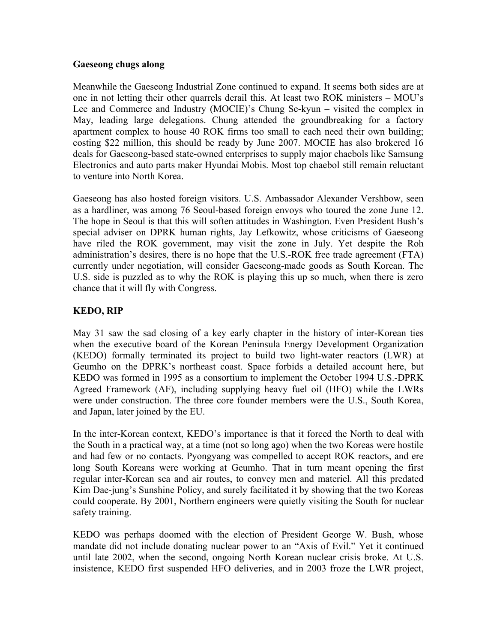#### **Gaeseong chugs along**

Meanwhile the Gaeseong Industrial Zone continued to expand. It seems both sides are at one in not letting their other quarrels derail this. At least two ROK ministers – MOU's Lee and Commerce and Industry (MOCIE)'s Chung Se-kyun – visited the complex in May, leading large delegations. Chung attended the groundbreaking for a factory apartment complex to house 40 ROK firms too small to each need their own building; costing \$22 million, this should be ready by June 2007. MOCIE has also brokered 16 deals for Gaeseong-based state-owned enterprises to supply major chaebols like Samsung Electronics and auto parts maker Hyundai Mobis. Most top chaebol still remain reluctant to venture into North Korea.

Gaeseong has also hosted foreign visitors. U.S. Ambassador Alexander Vershbow, seen as a hardliner, was among 76 Seoul-based foreign envoys who toured the zone June 12. The hope in Seoul is that this will soften attitudes in Washington. Even President Bush's special adviser on DPRK human rights, Jay Lefkowitz, whose criticisms of Gaeseong have riled the ROK government, may visit the zone in July. Yet despite the Roh administration's desires, there is no hope that the U.S.-ROK free trade agreement (FTA) currently under negotiation, will consider Gaeseong-made goods as South Korean. The U.S. side is puzzled as to why the ROK is playing this up so much, when there is zero chance that it will fly with Congress.

# **KEDO, RIP**

May 31 saw the sad closing of a key early chapter in the history of inter-Korean ties when the executive board of the Korean Peninsula Energy Development Organization (KEDO) formally terminated its project to build two light-water reactors (LWR) at Geumho on the DPRK's northeast coast. Space forbids a detailed account here, but KEDO was formed in 1995 as a consortium to implement the October 1994 U.S.-DPRK Agreed Framework (AF), including supplying heavy fuel oil (HFO) while the LWRs were under construction. The three core founder members were the U.S., South Korea, and Japan, later joined by the EU.

In the inter-Korean context, KEDO's importance is that it forced the North to deal with the South in a practical way, at a time (not so long ago) when the two Koreas were hostile and had few or no contacts. Pyongyang was compelled to accept ROK reactors, and ere long South Koreans were working at Geumho. That in turn meant opening the first regular inter-Korean sea and air routes, to convey men and materiel. All this predated Kim Dae-jung's Sunshine Policy, and surely facilitated it by showing that the two Koreas could cooperate. By 2001, Northern engineers were quietly visiting the South for nuclear safety training.

KEDO was perhaps doomed with the election of President George W. Bush, whose mandate did not include donating nuclear power to an "Axis of Evil." Yet it continued until late 2002, when the second, ongoing North Korean nuclear crisis broke. At U.S. insistence, KEDO first suspended HFO deliveries, and in 2003 froze the LWR project,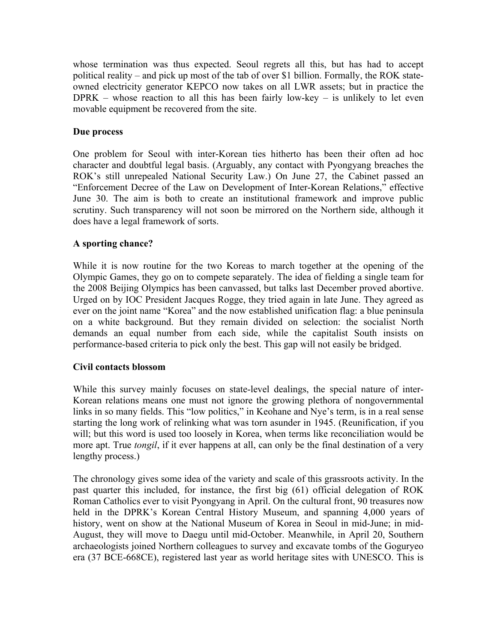whose termination was thus expected. Seoul regrets all this, but has had to accept political reality – and pick up most of the tab of over \$1 billion. Formally, the ROK stateowned electricity generator KEPCO now takes on all LWR assets; but in practice the  $DPRK$  – whose reaction to all this has been fairly low-key – is unlikely to let even movable equipment be recovered from the site.

# **Due process**

One problem for Seoul with inter-Korean ties hitherto has been their often ad hoc character and doubtful legal basis. (Arguably, any contact with Pyongyang breaches the ROK's still unrepealed National Security Law.) On June 27, the Cabinet passed an "Enforcement Decree of the Law on Development of Inter-Korean Relations," effective June 30. The aim is both to create an institutional framework and improve public scrutiny. Such transparency will not soon be mirrored on the Northern side, although it does have a legal framework of sorts.

# **A sporting chance?**

While it is now routine for the two Koreas to march together at the opening of the Olympic Games, they go on to compete separately. The idea of fielding a single team for the 2008 Beijing Olympics has been canvassed, but talks last December proved abortive. Urged on by IOC President Jacques Rogge, they tried again in late June. They agreed as ever on the joint name "Korea" and the now established unification flag: a blue peninsula on a white background. But they remain divided on selection: the socialist North demands an equal number from each side, while the capitalist South insists on performance-based criteria to pick only the best. This gap will not easily be bridged.

# **Civil contacts blossom**

While this survey mainly focuses on state-level dealings, the special nature of inter-Korean relations means one must not ignore the growing plethora of nongovernmental links in so many fields. This "low politics," in Keohane and Nye's term, is in a real sense starting the long work of relinking what was torn asunder in 1945. (Reunification, if you will; but this word is used too loosely in Korea, when terms like reconciliation would be more apt. True *tongil*, if it ever happens at all, can only be the final destination of a very lengthy process.)

The chronology gives some idea of the variety and scale of this grassroots activity. In the past quarter this included, for instance, the first big (61) official delegation of ROK Roman Catholics ever to visit Pyongyang in April. On the cultural front, 90 treasures now held in the DPRK's Korean Central History Museum, and spanning 4,000 years of history, went on show at the National Museum of Korea in Seoul in mid-June; in mid-August, they will move to Daegu until mid-October. Meanwhile, in April 20, Southern archaeologists joined Northern colleagues to survey and excavate tombs of the Goguryeo era (37 BCE-668CE), registered last year as world heritage sites with UNESCO. This is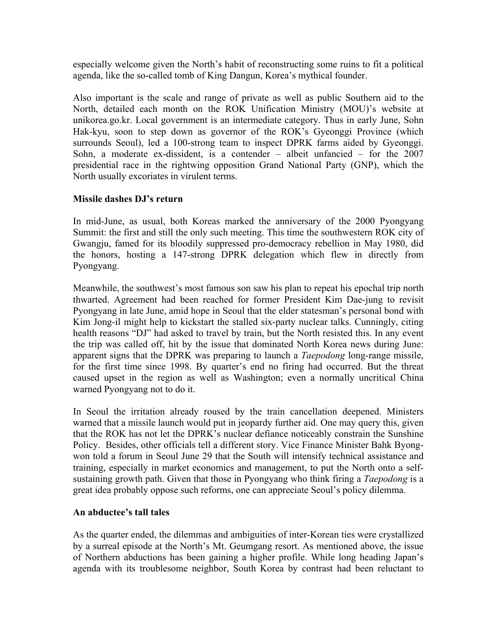especially welcome given the North's habit of reconstructing some ruins to fit a political agenda, like the so-called tomb of King Dangun, Korea's mythical founder.

Also important is the scale and range of private as well as public Southern aid to the North, detailed each month on the ROK Unification Ministry (MOU)'s website at unikorea.go.kr. Local government is an intermediate category. Thus in early June, Sohn Hak-kyu, soon to step down as governor of the ROK's Gyeonggi Province (which surrounds Seoul), led a 100-strong team to inspect DPRK farms aided by Gyeonggi. Sohn, a moderate ex-dissident, is a contender – albeit unfancied – for the 2007 presidential race in the rightwing opposition Grand National Party (GNP), which the North usually excoriates in virulent terms.

#### **Missile dashes DJ's return**

In mid-June, as usual, both Koreas marked the anniversary of the 2000 Pyongyang Summit: the first and still the only such meeting. This time the southwestern ROK city of Gwangju, famed for its bloodily suppressed pro-democracy rebellion in May 1980, did the honors, hosting a 147-strong DPRK delegation which flew in directly from Pyongyang.

Meanwhile, the southwest's most famous son saw his plan to repeat his epochal trip north thwarted. Agreement had been reached for former President Kim Dae-jung to revisit Pyongyang in late June, amid hope in Seoul that the elder statesman's personal bond with Kim Jong-il might help to kickstart the stalled six-party nuclear talks. Cunningly, citing health reasons "DJ" had asked to travel by train, but the North resisted this. In any event the trip was called off, hit by the issue that dominated North Korea news during June: apparent signs that the DPRK was preparing to launch a *Taepodong* long-range missile, for the first time since 1998. By quarter's end no firing had occurred. But the threat caused upset in the region as well as Washington; even a normally uncritical China warned Pyongyang not to do it.

In Seoul the irritation already roused by the train cancellation deepened. Ministers warned that a missile launch would put in jeopardy further aid. One may query this, given that the ROK has not let the DPRK's nuclear defiance noticeably constrain the Sunshine Policy. Besides, other officials tell a different story. Vice Finance Minister Bahk Byongwon told a forum in Seoul June 29 that the South will intensify technical assistance and training, especially in market economics and management, to put the North onto a selfsustaining growth path. Given that those in Pyongyang who think firing a *Taepodong* is a great idea probably oppose such reforms, one can appreciate Seoul's policy dilemma.

#### **An abductee's tall tales**

As the quarter ended, the dilemmas and ambiguities of inter-Korean ties were crystallized by a surreal episode at the North's Mt. Geumgang resort. As mentioned above, the issue of Northern abductions has been gaining a higher profile. While long heading Japan's agenda with its troublesome neighbor, South Korea by contrast had been reluctant to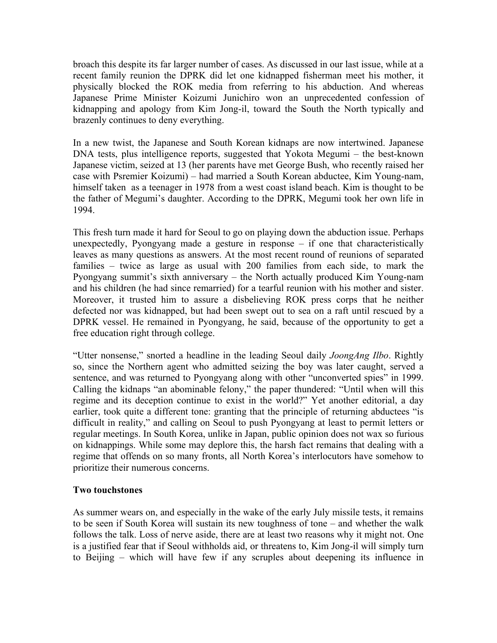broach this despite its far larger number of cases. As discussed in our last issue, while at a recent family reunion the DPRK did let one kidnapped fisherman meet his mother, it physically blocked the ROK media from referring to his abduction. And whereas Japanese Prime Minister Koizumi Junichiro won an unprecedented confession of kidnapping and apology from Kim Jong-il, toward the South the North typically and brazenly continues to deny everything.

In a new twist, the Japanese and South Korean kidnaps are now intertwined. Japanese DNA tests, plus intelligence reports, suggested that Yokota Megumi – the best-known Japanese victim, seized at 13 (her parents have met George Bush, who recently raised her case with Psremier Koizumi) – had married a South Korean abductee, Kim Young-nam, himself taken as a teenager in 1978 from a west coast island beach. Kim is thought to be the father of Megumi's daughter. According to the DPRK, Megumi took her own life in 1994.

This fresh turn made it hard for Seoul to go on playing down the abduction issue. Perhaps unexpectedly, Pyongyang made a gesture in response – if one that characteristically leaves as many questions as answers. At the most recent round of reunions of separated families – twice as large as usual with 200 families from each side, to mark the Pyongyang summit's sixth anniversary – the North actually produced Kim Young-nam and his children (he had since remarried) for a tearful reunion with his mother and sister. Moreover, it trusted him to assure a disbelieving ROK press corps that he neither defected nor was kidnapped, but had been swept out to sea on a raft until rescued by a DPRK vessel. He remained in Pyongyang, he said, because of the opportunity to get a free education right through college.

"Utter nonsense," snorted a headline in the leading Seoul daily *JoongAng Ilbo*. Rightly so, since the Northern agent who admitted seizing the boy was later caught, served a sentence, and was returned to Pyongyang along with other "unconverted spies" in 1999. Calling the kidnaps "an abominable felony," the paper thundered: "Until when will this regime and its deception continue to exist in the world?" Yet another editorial, a day earlier, took quite a different tone: granting that the principle of returning abductees "is difficult in reality," and calling on Seoul to push Pyongyang at least to permit letters or regular meetings. In South Korea, unlike in Japan, public opinion does not wax so furious on kidnappings. While some may deplore this, the harsh fact remains that dealing with a regime that offends on so many fronts, all North Korea's interlocutors have somehow to prioritize their numerous concerns.

#### **Two touchstones**

As summer wears on, and especially in the wake of the early July missile tests, it remains to be seen if South Korea will sustain its new toughness of tone – and whether the walk follows the talk. Loss of nerve aside, there are at least two reasons why it might not. One is a justified fear that if Seoul withholds aid, or threatens to, Kim Jong-il will simply turn to Beijing – which will have few if any scruples about deepening its influence in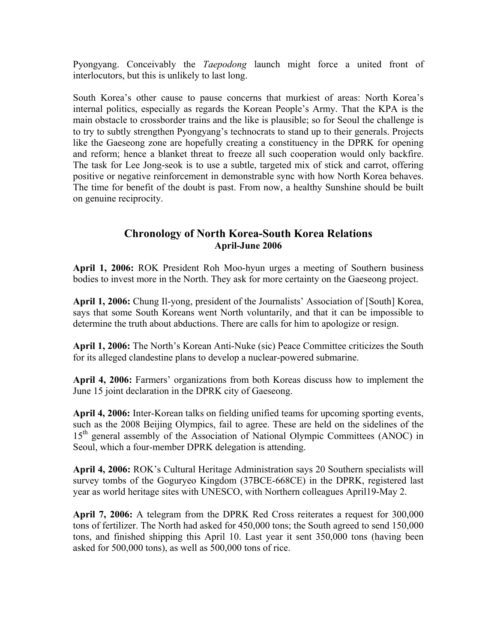Pyongyang. Conceivably the *Taepodong* launch might force a united front of interlocutors, but this is unlikely to last long.

South Korea's other cause to pause concerns that murkiest of areas: North Korea's internal politics, especially as regards the Korean People's Army. That the KPA is the main obstacle to crossborder trains and the like is plausible; so for Seoul the challenge is to try to subtly strengthen Pyongyang's technocrats to stand up to their generals. Projects like the Gaeseong zone are hopefully creating a constituency in the DPRK for opening and reform; hence a blanket threat to freeze all such cooperation would only backfire. The task for Lee Jong-seok is to use a subtle, targeted mix of stick and carrot, offering positive or negative reinforcement in demonstrable sync with how North Korea behaves. The time for benefit of the doubt is past. From now, a healthy Sunshine should be built on genuine reciprocity.

# **Chronology of North Korea-South Korea Relations April-June 2006**

**April 1, 2006:** ROK President Roh Moo-hyun urges a meeting of Southern business bodies to invest more in the North. They ask for more certainty on the Gaeseong project.

**April 1, 2006:** Chung Il-yong, president of the Journalists' Association of [South] Korea, says that some South Koreans went North voluntarily, and that it can be impossible to determine the truth about abductions. There are calls for him to apologize or resign.

**April 1, 2006:** The North's Korean Anti-Nuke (sic) Peace Committee criticizes the South for its alleged clandestine plans to develop a nuclear-powered submarine.

**April 4, 2006:** Farmers' organizations from both Koreas discuss how to implement the June 15 joint declaration in the DPRK city of Gaeseong.

**April 4, 2006:** Inter-Korean talks on fielding unified teams for upcoming sporting events, such as the 2008 Beijing Olympics, fail to agree. These are held on the sidelines of the 15<sup>th</sup> general assembly of the Association of National Olympic Committees (ANOC) in Seoul, which a four-member DPRK delegation is attending.

**April 4, 2006:** ROK's Cultural Heritage Administration says 20 Southern specialists will survey tombs of the Goguryeo Kingdom (37BCE-668CE) in the DPRK, registered last year as world heritage sites with UNESCO, with Northern colleagues April19-May 2.

**April 7, 2006:** A telegram from the DPRK Red Cross reiterates a request for 300,000 tons of fertilizer. The North had asked for 450,000 tons; the South agreed to send 150,000 tons, and finished shipping this April 10. Last year it sent 350,000 tons (having been asked for 500,000 tons), as well as 500,000 tons of rice.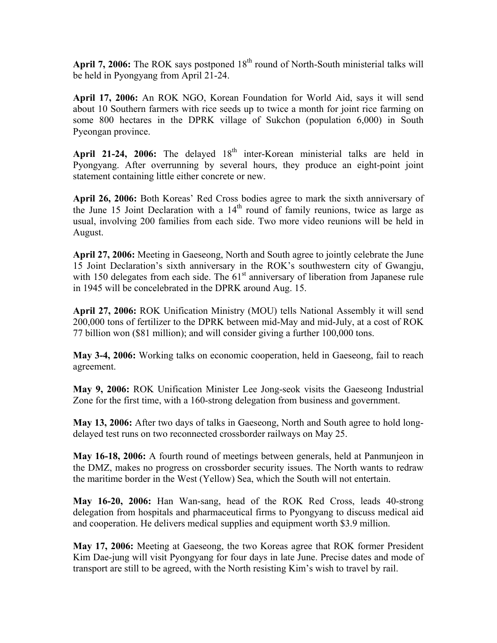April 7, 2006: The ROK says postponed 18<sup>th</sup> round of North-South ministerial talks will be held in Pyongyang from April 21-24.

**April 17, 2006:** An ROK NGO, Korean Foundation for World Aid, says it will send about 10 Southern farmers with rice seeds up to twice a month for joint rice farming on some 800 hectares in the DPRK village of Sukchon (population 6,000) in South Pyeongan province.

April 21-24, 2006: The delayed 18<sup>th</sup> inter-Korean ministerial talks are held in Pyongyang. After overrunning by several hours, they produce an eight-point joint statement containing little either concrete or new.

**April 26, 2006:** Both Koreas' Red Cross bodies agree to mark the sixth anniversary of the June 15 Joint Declaration with a  $14<sup>th</sup>$  round of family reunions, twice as large as usual, involving 200 families from each side. Two more video reunions will be held in August.

**April 27, 2006:** Meeting in Gaeseong, North and South agree to jointly celebrate the June 15 Joint Declaration's sixth anniversary in the ROK's southwestern city of Gwangju, with 150 delegates from each side. The  $61<sup>st</sup>$  anniversary of liberation from Japanese rule in 1945 will be concelebrated in the DPRK around Aug. 15.

**April 27, 2006:** ROK Unification Ministry (MOU) tells National Assembly it will send 200,000 tons of fertilizer to the DPRK between mid-May and mid-July, at a cost of ROK 77 billion won (\$81 million); and will consider giving a further 100,000 tons.

**May 3-4, 2006:** Working talks on economic cooperation, held in Gaeseong, fail to reach agreement.

**May 9, 2006:** ROK Unification Minister Lee Jong-seok visits the Gaeseong Industrial Zone for the first time, with a 160-strong delegation from business and government.

**May 13, 2006:** After two days of talks in Gaeseong, North and South agree to hold longdelayed test runs on two reconnected crossborder railways on May 25.

**May 16-18, 2006:** A fourth round of meetings between generals, held at Panmunjeon in the DMZ, makes no progress on crossborder security issues. The North wants to redraw the maritime border in the West (Yellow) Sea, which the South will not entertain.

**May 16-20, 2006:** Han Wan-sang, head of the ROK Red Cross, leads 40-strong delegation from hospitals and pharmaceutical firms to Pyongyang to discuss medical aid and cooperation. He delivers medical supplies and equipment worth \$3.9 million.

**May 17, 2006:** Meeting at Gaeseong, the two Koreas agree that ROK former President Kim Dae-jung will visit Pyongyang for four days in late June. Precise dates and mode of transport are still to be agreed, with the North resisting Kim's wish to travel by rail.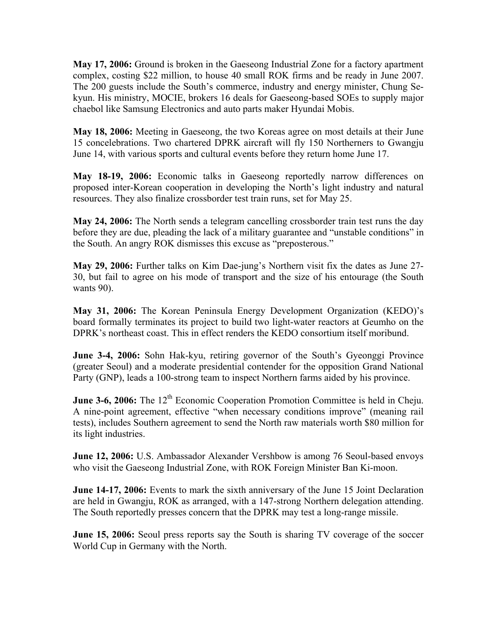**May 17, 2006:** Ground is broken in the Gaeseong Industrial Zone for a factory apartment complex, costing \$22 million, to house 40 small ROK firms and be ready in June 2007. The 200 guests include the South's commerce, industry and energy minister, Chung Sekyun. His ministry, MOCIE, brokers 16 deals for Gaeseong-based SOEs to supply major chaebol like Samsung Electronics and auto parts maker Hyundai Mobis.

**May 18, 2006:** Meeting in Gaeseong, the two Koreas agree on most details at their June 15 concelebrations. Two chartered DPRK aircraft will fly 150 Northerners to Gwangju June 14, with various sports and cultural events before they return home June 17.

**May 18-19, 2006:** Economic talks in Gaeseong reportedly narrow differences on proposed inter-Korean cooperation in developing the North's light industry and natural resources. They also finalize crossborder test train runs, set for May 25.

**May 24, 2006:** The North sends a telegram cancelling crossborder train test runs the day before they are due, pleading the lack of a military guarantee and "unstable conditions" in the South. An angry ROK dismisses this excuse as "preposterous."

**May 29, 2006:** Further talks on Kim Dae-jung's Northern visit fix the dates as June 27- 30, but fail to agree on his mode of transport and the size of his entourage (the South wants 90).

**May 31, 2006:** The Korean Peninsula Energy Development Organization (KEDO)'s board formally terminates its project to build two light-water reactors at Geumho on the DPRK's northeast coast. This in effect renders the KEDO consortium itself moribund.

**June 3-4, 2006:** Sohn Hak-kyu, retiring governor of the South's Gyeonggi Province (greater Seoul) and a moderate presidential contender for the opposition Grand National Party (GNP), leads a 100-strong team to inspect Northern farms aided by his province.

**June 3-6, 2006:** The 12<sup>th</sup> Economic Cooperation Promotion Committee is held in Cheju. A nine-point agreement, effective "when necessary conditions improve" (meaning rail tests), includes Southern agreement to send the North raw materials worth \$80 million for its light industries.

**June 12, 2006:** U.S. Ambassador Alexander Vershbow is among 76 Seoul-based envoys who visit the Gaeseong Industrial Zone, with ROK Foreign Minister Ban Ki-moon.

**June 14-17, 2006:** Events to mark the sixth anniversary of the June 15 Joint Declaration are held in Gwangju, ROK as arranged, with a 147-strong Northern delegation attending. The South reportedly presses concern that the DPRK may test a long-range missile.

**June 15, 2006:** Seoul press reports say the South is sharing TV coverage of the soccer World Cup in Germany with the North.